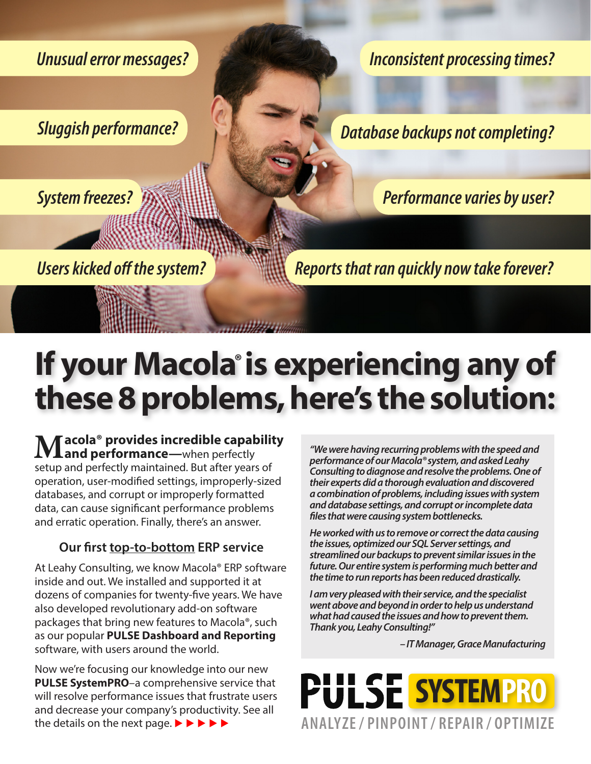*Unusual error messages?* 

*Sluggish performance?*

*System freezes?*

*Inconsistent processing times?* 

*Database backups not completing?* 

*Performance varies by user?*

*Users kicked off the system?*

*Reports that ran quickly now take forever?*

# If your Macola<sup>®</sup> is experiencing any of **these 8 problems, here's the solution:**

**Macola® provides incredible capability and performance—**when perfectly setup and perfectly maintained. But after years of operation, user-modified settings, improperly-sized databases, and corrupt or improperly formatted data, can cause significant performance problems and erratic operation. Finally, there's an answer.

### **Our first top-to-bottom ERP service**

At Leahy Consulting, we know Macola® ERP software inside and out. We installed and supported it at dozens of companies for twenty-five years. We have also developed revolutionary add-on software packages that bring new features to Macola®, such as our popular **PULSE Dashboard and Reporting**  software, with users around the world.

Now we're focusing our knowledge into our new **PULSE SystemPRO**–a comprehensive service that will resolve performance issues that frustrate users and decrease your company's productivity. See all the details on the next page.  $\blacktriangleright \blacktriangleright \blacktriangleright \blacktriangleright \blacktriangleright$ 

*"We were having recurring problems with the speed and performance of our Macola® system, and asked Leahy Consulting to diagnose and resolve the problems. One of their experts did a thorough evaluation and discovered a combination of problems, including issues with system and database settings, and corrupt or incomplete data files that were causing system bottlenecks.*

*He worked with us to remove or correct the data causing the issues, optimized our SQL Server settings, and streamlined our backups to prevent similar issues in the future. Our entire system is performing much better and the time to run reports has been reduced drastically.*

*I am very pleased with their service, and the specialist went above and beyond in order to help us understand what had caused the issues and how to prevent them. Thank you, Leahy Consulting!"*

*– IT Manager, Grace Manufacturing*